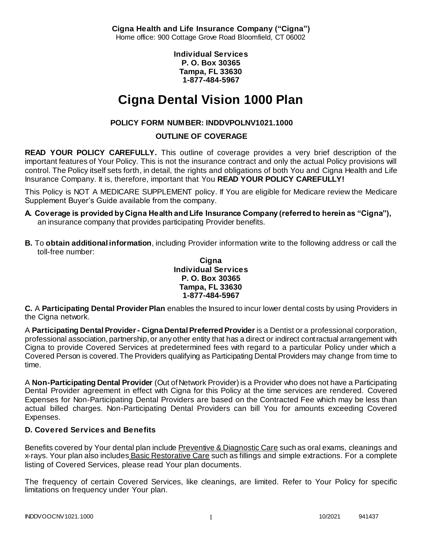**Cigna Health and Life Insurance Company ("Cigna")** Home office: 900 Cottage Grove Road Bloomfield, CT 06002

> **Individual Services P. O. Box 30365 Tampa, FL 33630 1-877-484-5967**

# **Cigna Dental Vision 1000 Plan**

# **POLICY FORM NUMBER: INDDVPOLNV1021.1000**

### **OUTLINE OF COVERAGE**

**READ YOUR POLICY CAREFULLY.** This outline of coverage provides a very brief description of the important features of Your Policy. This is not the insurance contract and only the actual Policy provisions will control. The Policy itself sets forth, in detail, the rights and obligations of both You and Cigna Health and Life Insurance Company. It is, therefore, important that You **READ YOUR POLICY CAREFULLY!** 

This Policy is NOT A MEDICARE SUPPLEMENT policy. If You are eligible for Medicare review the Medicare Supplement Buyer's Guide available from the company.

- **A. Coverage is provided by Cigna Health and Life Insurance Company (referred to herein as "Cigna"),**  an insurance company that provides participating Provider benefits.
- **B.** To **obtain additional information**, including Provider information write to the following address or call the toll-free number:

#### **Cigna Individual Services P. O. Box 30365 Tampa, FL 33630 1-877-484-5967**

**C.** A **Participating Dental Provider Plan** enables the Insured to incur lower dental costs by using Providers in the Cigna network.

A **Participating Dental Provider - Cigna Dental Preferred Provider** is a Dentist or a professional corporation, professional association, partnership, or any other entity that has a direct or indirect contractual arrangement with Cigna to provide Covered Services at predetermined fees with regard to a particular Policy under which a Covered Person is covered. The Providers qualifying as Participating Dental Providers may change from time to time.

A **Non-Participating Dental Provider** (Out of Network Provider) is a Provider who does not have a Participating Dental Provider agreement in effect with Cigna for this Policy at the time services are rendered. Covered Expenses for Non-Participating Dental Providers are based on the Contracted Fee which may be less than actual billed charges. Non-Participating Dental Providers can bill You for amounts exceeding Covered Expenses.

### **D. Covered Services and Benefits**

Benefits covered by Your dental plan include Preventive & Diagnostic Care such as oral exams, cleanings and x-rays. Your plan also includes Basic Restorative Care such as fillings and simple extractions. For a complete listing of Covered Services, please read Your plan documents.

The frequency of certain Covered Services, like cleanings, are limited. Refer to Your Policy for specific limitations on frequency under Your plan.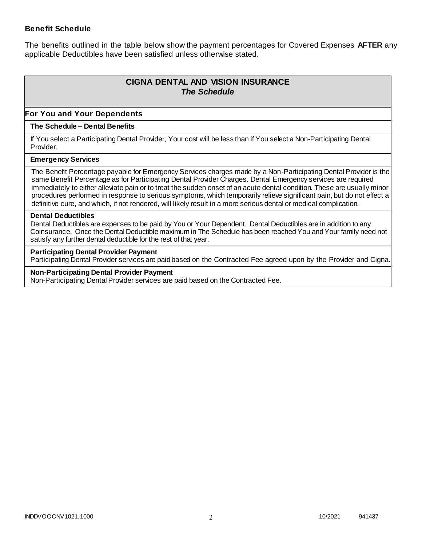### **Benefit Schedule**

The benefits outlined in the table below show the payment percentages for Covered Expenses **AFTER** any applicable Deductibles have been satisfied unless otherwise stated.

# **CIGNA DENTAL AND VISION INSURANCE** *The Schedule*

### **For You and Your Dependents**

#### **The Schedule – Dental Benefits**

If You select a Participating Dental Provider, Your cost will be less than if You select a Non-Participating Dental Provider.

#### **Emergency Services**

The Benefit Percentage payable for Emergency Services charges made by a Non-Participating Dental Provider is the same Benefit Percentage as for Participating Dental Provider Charges. Dental Emergency services are required immediately to either alleviate pain or to treat the sudden onset of an acute dental condition. These are usually minor procedures performed in response to serious symptoms, which temporarily relieve significant pain, but do not effect a definitive cure, and which, if not rendered, will likely result in a more serious dental or medical complication.

#### **Dental Deductibles**

Dental Deductibles are expenses to be paid by You or Your Dependent. Dental Deductibles are in addition to any Coinsurance. Once the Dental Deductible maximum in The Schedule has been reached You and Your family need not satisfy any further dental deductible for the rest of that year.

#### **Participating Dental Provider Payment**

Participating Dental Provider services are paid based on the Contracted Fee agreed upon by the Provider and Cigna.

**Non-Participating Dental Provider Payment** Non-Participating Dental Provider services are paid based on the Contracted Fee.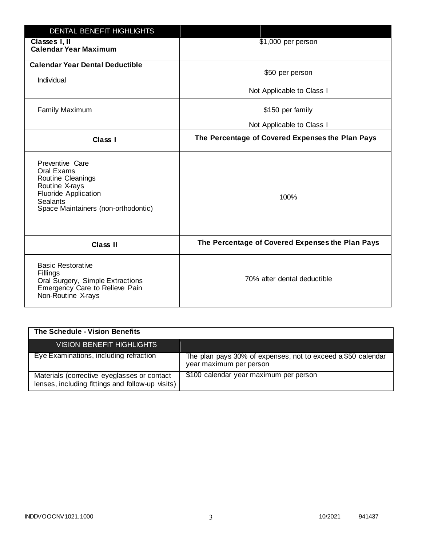| <b>DENTAL BENEFIT HIGHLIGHTS</b>                                                                                                                              |                                                  |
|---------------------------------------------------------------------------------------------------------------------------------------------------------------|--------------------------------------------------|
| Classes I, II<br><b>Calendar Year Maximum</b>                                                                                                                 | \$1,000 per person                               |
| <b>Calendar Year Dental Deductible</b><br>Individual                                                                                                          | \$50 per person                                  |
|                                                                                                                                                               | Not Applicable to Class I                        |
| <b>Family Maximum</b>                                                                                                                                         | \$150 per family                                 |
|                                                                                                                                                               | Not Applicable to Class I                        |
| <b>Class I</b>                                                                                                                                                | The Percentage of Covered Expenses the Plan Pays |
| Preventive Care<br>Oral Exams<br>Routine Cleanings<br>Routine X-rays<br><b>Fluoride Application</b><br><b>Sealants</b><br>Space Maintainers (non-orthodontic) | 100%                                             |
| <b>Class II</b>                                                                                                                                               | The Percentage of Covered Expenses the Plan Pays |
| <b>Basic Restorative</b><br>Fillings<br>Oral Surgery, Simple Extractions<br>Emergency Care to Relieve Pain<br>Non-Routine X-rays                              | 70% after dental deductible                      |

| The Schedule - Vision Benefits                                                                  |                                                                                         |
|-------------------------------------------------------------------------------------------------|-----------------------------------------------------------------------------------------|
| VISION BENEFIT HIGHLIGHTS                                                                       |                                                                                         |
| Eye Examinations, including refraction                                                          | The plan pays 30% of expenses, not to exceed a \$50 calendar<br>year maximum per person |
| Materials (corrective eyeglasses or contact<br>lenses, including fittings and follow-up visits) | \$100 calendar year maximum per person                                                  |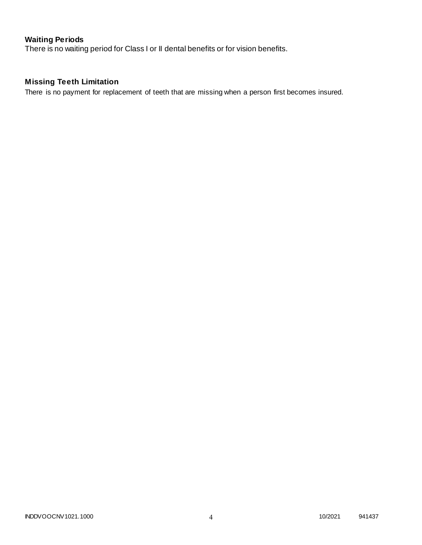# **Waiting Periods**

There is no waiting period for Class I or II dental benefits or for vision benefits.

# **Missing Teeth Limitation**

There is no payment for replacement of teeth that are missing when a person first becomes insured.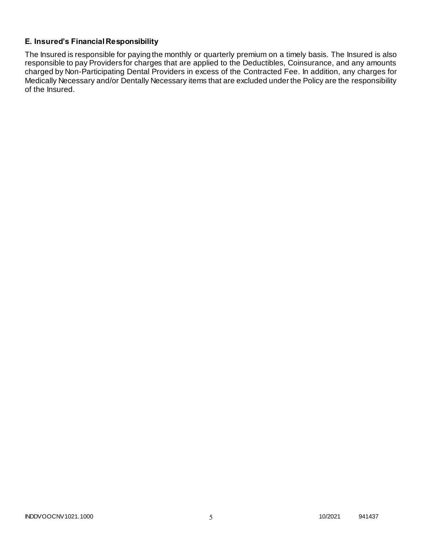### **E. Insured's Financial Responsibility**

The Insured is responsible for paying the monthly or quarterly premium on a timely basis. The Insured is also responsible to pay Providers for charges that are applied to the Deductibles, Coinsurance, and any amounts charged by Non-Participating Dental Providers in excess of the Contracted Fee. In addition, any charges for Medically Necessary and/or Dentally Necessary items that are excluded under the Policy are the responsibility of the Insured.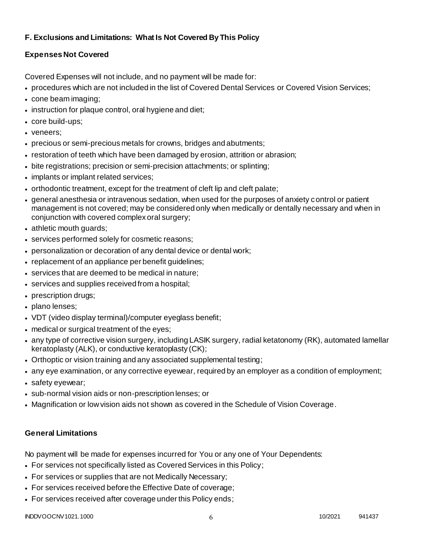## **F. Exclusions and Limitations: What Is Not Covered By This Policy**

## **Expenses Not Covered**

Covered Expenses will not include, and no payment will be made for:

- procedures which are not included in the list of Covered Dental Services or Covered Vision Services;
- cone beam imaging;
- instruction for plaque control, oral hygiene and diet;
- core build-ups;
- veneers;
- precious or semi-precious metals for crowns, bridges and abutments;
- restoration of teeth which have been damaged by erosion, attrition or abrasion;
- bite registrations; precision or semi-precision attachments; or splinting;
- implants or implant related services;
- orthodontic treatment, except for the treatment of cleft lip and cleft palate;
- general anesthesia or intravenous sedation, when used for the purposes of anxiety control or patient management is not covered; may be considered only when medically or dentally necessary and when in conjunction with covered complex oral surgery;
- athletic mouth guards;
- services performed solely for cosmetic reasons;
- personalization or decoration of any dental device or dental work;
- replacement of an appliance per benefit quidelines;
- services that are deemed to be medical in nature;
- services and supplies received from a hospital;
- prescription drugs;
- plano lenses;
- VDT (video display terminal)/computer eyeglass benefit;
- medical or surgical treatment of the eyes;
- any type of corrective vision surgery, including LASIK surgery, radial ketatonomy (RK), automated lamellar keratoplasty (ALK), or conductive keratoplasty (CK);
- Orthoptic or vision training and any associated supplemental testing;
- any eye examination, or any corrective eyewear, required by an employer as a condition of employment;
- safety eyewear;
- sub-normal vision aids or non-prescription lenses; or
- Magnification or low vision aids not shown as covered in the Schedule of Vision Coverage.

# **General Limitations**

No payment will be made for expenses incurred for You or any one of Your Dependents:

- For services not specifically listed as Covered Services in this Policy;
- For services or supplies that are not Medically Necessary;
- For services received before the Effective Date of coverage;
- For services received after coverage under this Policy ends;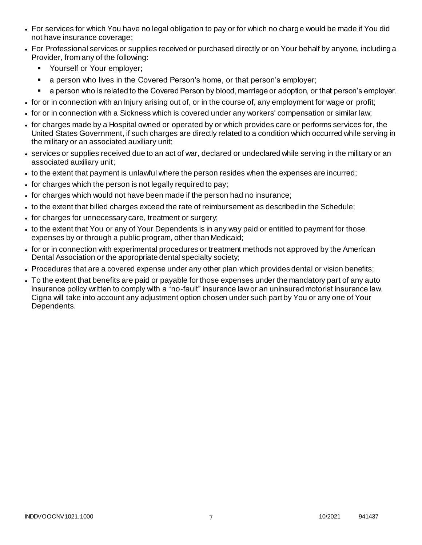- For services for which You have no legal obligation to pay or for which no charge would be made if You did not have insurance coverage;
- For Professional services or supplies received or purchased directly or on Your behalf by anyone, including a Provider, from any of the following:
	- **Yourself or Your employer;**
	- a person who lives in the Covered Person's home, or that person's employer;
	- a person who is related to the Covered Person by blood, marriage or adoption, or that person's employer.
- for or in connection with an Injury arising out of, or in the course of, any employment for wage or profit;
- for or in connection with a Sickness which is covered under any workers' compensation or similar law;
- for charges made by a Hospital owned or operated by or which provides care or performs services for, the United States Government, if such charges are directly related to a condition which occurred while serving in the military or an associated auxiliary unit;
- services or supplies received due to an act of war, declared or undeclared while serving in the military or an associated auxiliary unit;
- to the extent that payment is unlawful where the person resides when the expenses are incurred;
- for charges which the person is not legally required to pay;
- for charges which would not have been made if the person had no insurance;
- to the extent that billed charges exceed the rate of reimbursement as described in the Schedule;
- for charges for unnecessary care, treatment or surgery;
- to the extent that You or any of Your Dependents is in any way paid or entitled to payment for those expenses by or through a public program, other than Medicaid;
- for or in connection with experimental procedures or treatment methods not approved by the American Dental Association or the appropriate dental specialty society;
- Procedures that are a covered expense under any other plan which provides dental or vision benefits;
- To the extent that benefits are paid or payable for those expenses under the mandatory part of any auto insurance policy written to comply with a "no-fault" insurance law or an uninsured motorist insurance law. Cigna will take into account any adjustment option chosen under such part by You or any one of Your Dependents.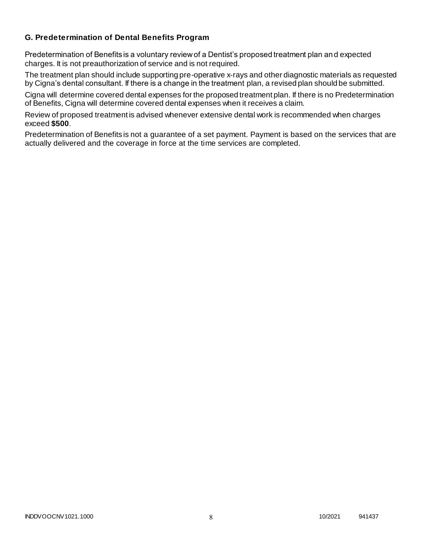### **G. Predetermination of Dental Benefits Program**

Predetermination of Benefits is a voluntary review of a Dentist's proposed treatment plan and expected charges. It is not preauthorization of service and is not required.

The treatment plan should include supporting pre-operative x-rays and other diagnostic materials as requested by Cigna's dental consultant. If there is a change in the treatment plan, a revised plan should be submitted.

Cigna will determine covered dental expenses for the proposed treatment plan. If there is no Predetermination of Benefits, Cigna will determine covered dental expenses when it receives a claim.

Review of proposed treatment is advised whenever extensive dental work is recommended when charges exceed **\$500**.

Predetermination of Benefits is not a guarantee of a set payment. Payment is based on the services that are actually delivered and the coverage in force at the time services are completed.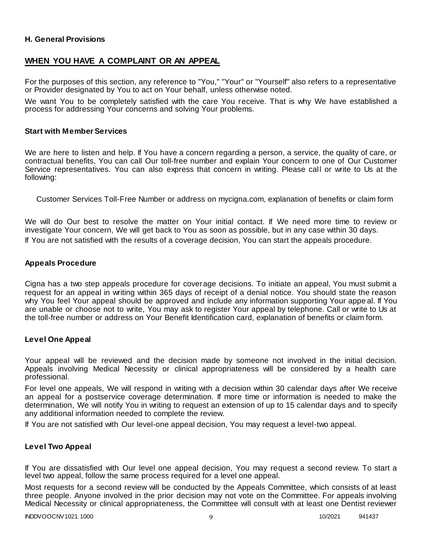### **H. General Provisions**

### **WHEN YOU HAVE A COMPLAINT OR AN APPEAL**

For the purposes of this section, any reference to "You," "Your" or "Yourself" also refers to a representative or Provider designated by You to act on Your behalf, unless otherwise noted.

We want You to be completely satisfied with the care You receive. That is why We have established a process for addressing Your concerns and solving Your problems.

#### **Start with Member Services**

We are here to listen and help. If You have a concern regarding a person, a service, the quality of care, or contractual benefits, You can call Our toll-free number and explain Your concern to one of Our Customer Service representatives. You can also express that concern in writing. Please call or write to Us at the following:

Customer Services Toll-Free Number or address on mycigna.com, explanation of benefits or claim form

We will do Our best to resolve the matter on Your initial contact. If We need more time to review or investigate Your concern, We will get back to You as soon as possible, but in any case within 30 days. If You are not satisfied with the results of a coverage decision, You can start the appeals procedure.

#### **Appeals Procedure**

Cigna has a two step appeals procedure for coverage decisions. To initiate an appeal, You must submit a request for an appeal in writing within 365 days of receipt of a denial notice. You should state the reason why You feel Your appeal should be approved and include any information supporting Your appe al. If You are unable or choose not to write, You may ask to register Your appeal by telephone. Call or write to Us at the toll-free number or address on Your Benefit Identification card, explanation of benefits or claim form.

#### **Level One Appeal**

Your appeal will be reviewed and the decision made by someone not involved in the initial decision. Appeals involving Medical Necessity or clinical appropriateness will be considered by a health care professional.

For level one appeals, We will respond in writing with a decision within 30 calendar days after We receive an appeal for a postservice coverage determination. If more time or information is needed to make the determination, We will notify You in writing to request an extension of up to 15 calendar days and to specify any additional information needed to complete the review.

If You are not satisfied with Our level-one appeal decision, You may request a level-two appeal.

#### **Level Two Appeal**

If You are dissatisfied with Our level one appeal decision, You may request a second review. To start a level two appeal, follow the same process required for a level one appeal.

Most requests for a second review will be conducted by the Appeals Committee, which consists of at least three people. Anyone involved in the prior decision may not vote on the Committee. For appeals involving Medical Necessity or clinical appropriateness, the Committee will consult with at least one Dentist reviewer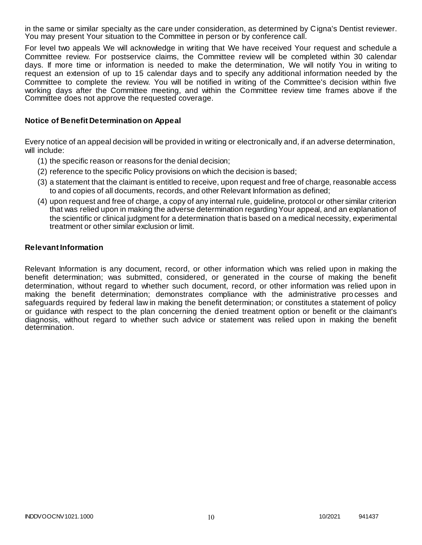in the same or similar specialty as the care under consideration, as determined by Cigna's Dentist reviewer. You may present Your situation to the Committee in person or by conference call.

For level two appeals We will acknowledge in writing that We have received Your request and schedule a Committee review. For postservice claims, the Committee review will be completed within 30 calendar days. If more time or information is needed to make the determination, We will notify You in writing to request an extension of up to 15 calendar days and to specify any additional information needed by the Committee to complete the review. You will be notified in writing of the Committee's decision within five working days after the Committee meeting, and within the Committee review time frames above if the Committee does not approve the requested coverage.

#### **Notice of Benefit Determination on Appeal**

Every notice of an appeal decision will be provided in writing or electronically and, if an adverse determination, will include:

- (1) the specific reason or reasons for the denial decision;
- (2) reference to the specific Policy provisions on which the decision is based;
- (3) a statement that the claimant is entitled to receive, upon request and free of charge, reasonable access to and copies of all documents, records, and other Relevant Information as defined;
- (4) upon request and free of charge, a copy of any internal rule, guideline, protocol or other similar criterion that was relied upon in making the adverse determination regarding Your appeal, and an explanation of the scientific or clinical judgment for a determination that is based on a medical necessity, experimental treatment or other similar exclusion or limit.

#### **Relevant Information**

Relevant Information is any document, record, or other information which was relied upon in making the benefit determination; was submitted, considered, or generated in the course of making the benefit determination, without regard to whether such document, record, or other information was relied upon in making the benefit determination; demonstrates compliance with the administrative pro cesses and safeguards required by federal law in making the benefit determination; or constitutes a statement of policy or guidance with respect to the plan concerning the denied treatment option or benefit or the claimant's diagnosis, without regard to whether such advice or statement was relied upon in making the benefit determination.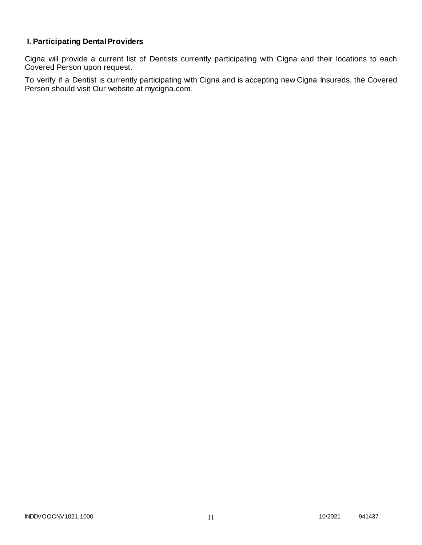# **I. Participating Dental Providers**

Cigna will provide a current list of Dentists currently participating with Cigna and their locations to each Covered Person upon request.

To verify if a Dentist is currently participating with Cigna and is accepting new Cigna Insureds, the Covered Person should visit Our website at mycigna.com.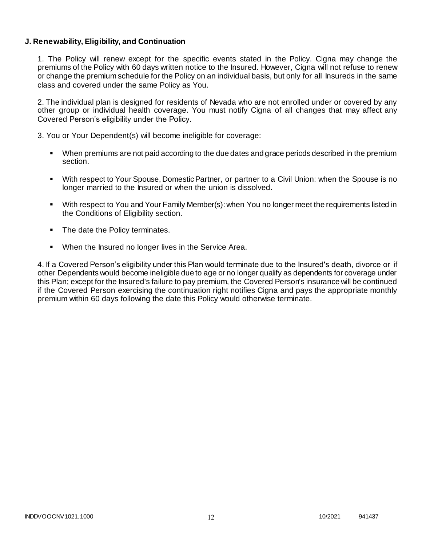### **J. Renewability, Eligibility, and Continuation**

1. The Policy will renew except for the specific events stated in the Policy. Cigna may change the premiums of the Policy with 60 days written notice to the Insured. However, Cigna will not refuse to renew or change the premium schedule for the Policy on an individual basis, but only for all Insureds in the same class and covered under the same Policy as You.

2. The individual plan is designed for residents of Nevada who are not enrolled under or covered by any other group or individual health coverage. You must notify Cigna of all changes that may affect any Covered Person's eligibility under the Policy.

3. You or Your Dependent(s) will become ineligible for coverage:

- When premiums are not paid according to the due dates and grace periods described in the premium section.
- With respect to Your Spouse, Domestic Partner, or partner to a Civil Union: when the Spouse is no longer married to the Insured or when the union is dissolved.
- With respect to You and Your Family Member(s): when You no longer meet the requirements listed in the Conditions of Eligibility section.
- The date the Policy terminates.
- When the Insured no longer lives in the Service Area.

4. If a Covered Person's eligibility under this Plan would terminate due to the Insured's death, divorce or if other Dependents would become ineligible due to age or no longer qualify as dependents for coverage under this Plan; except for the Insured's failure to pay premium, the Covered Person's insurance will be continued if the Covered Person exercising the continuation right notifies Cigna and pays the appropriate monthly premium within 60 days following the date this Policy would otherwise terminate.